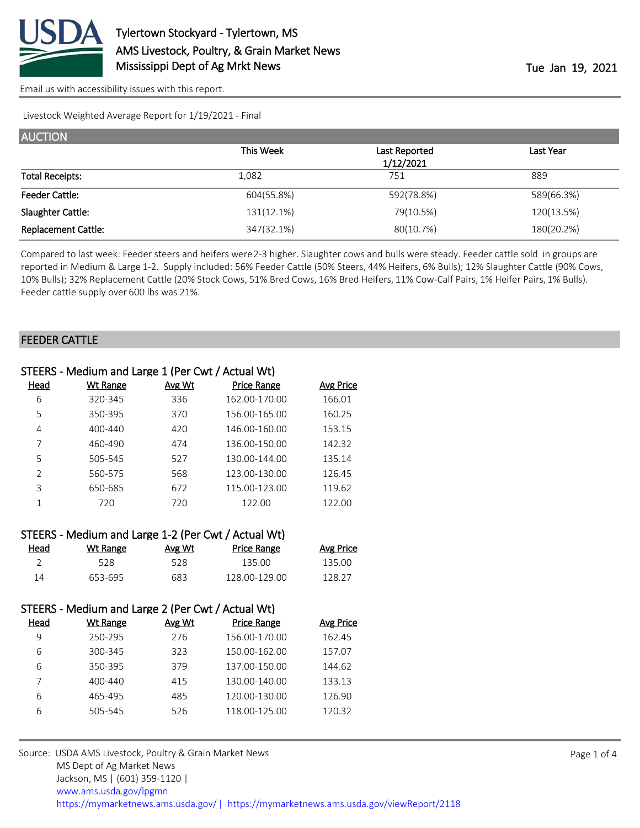

[Email us with accessibility issues with this report.](mailto:mars@ams.usda.gov?subject=508%20issue)

Livestock Weighted Average Report for 1/19/2021 - Final

| <b>AUCTION</b>             |            |               |            |
|----------------------------|------------|---------------|------------|
|                            | This Week  | Last Reported | Last Year  |
|                            |            | 1/12/2021     |            |
| <b>Total Receipts:</b>     | 1,082      | 751           | 889        |
| <b>Feeder Cattle:</b>      | 604(55.8%) | 592(78.8%)    | 589(66.3%) |
| Slaughter Cattle:          | 131(12.1%) | 79(10.5%)     | 120(13.5%) |
| <b>Replacement Cattle:</b> | 347(32.1%) | 80(10.7%)     | 180(20.2%) |

Compared to last week: Feeder steers and heifers were 2-3 higher. Slaughter cows and bulls were steady. Feeder cattle sold in groups are reported in Medium & Large 1-2. Supply included: 56% Feeder Cattle (50% Steers, 44% Heifers, 6% Bulls); 12% Slaughter Cattle (90% Cows, 10% Bulls); 32% Replacement Cattle (20% Stock Cows, 51% Bred Cows, 16% Bred Heifers, 11% Cow-Calf Pairs, 1% Heifer Pairs, 1% Bulls). Feeder cattle supply over 600 lbs was 21%.

#### FEEDER CATTLE

| STEERS - Medium and Large 1 (Per Cwt / Actual Wt) |          |        |                    |           |
|---------------------------------------------------|----------|--------|--------------------|-----------|
| Head                                              | Wt Range | Avg Wt | <b>Price Range</b> | Avg Price |
| 6                                                 | 320-345  | 336    | 162.00-170.00      | 166.01    |
| 5                                                 | 350-395  | 370    | 156.00-165.00      | 160.25    |
| 4                                                 | 400-440  | 420    | 146.00-160.00      | 153.15    |
|                                                   | 460-490  | 474    | 136.00-150.00      | 142.32    |
| 5                                                 | 505-545  | 527    | 130.00-144.00      | 135.14    |
| $\mathcal{P}$                                     | 560-575  | 568    | 123.00-130.00      | 126.45    |
| 3                                                 | 650-685  | 672    | 115.00-123.00      | 119.62    |
|                                                   | 720      | 720    | 122.00             | 122.00    |
|                                                   |          |        |                    |           |

| STEERS - Medium and Large 1-2 (Per Cwt / Actual Wt) |          |        |                    |                  |  |  |
|-----------------------------------------------------|----------|--------|--------------------|------------------|--|--|
| Head                                                | Wt Range | Avg Wt | <b>Price Range</b> | <b>Avg Price</b> |  |  |
|                                                     | 528      | 528    | 135.OO             | 135.00           |  |  |
| 14                                                  | 653-695  | 683    | 128 00-129 00      | 128.27           |  |  |

| STEERS - Medium and Large 2 (Per Cwt / Actual Wt) |             |        |                    |           |
|---------------------------------------------------|-------------|--------|--------------------|-----------|
| Head                                              | Wt Range    | Avg Wt | <b>Price Range</b> | Avg Price |
| 9                                                 | 250-295     | 276    | 156.00-170.00      | 162.45    |
| 6                                                 | 300-345     | 323    | 150.00-162.00      | 157.07    |
| 6                                                 | 350-395     | 379    | 137.00-150.00      | 144.62    |
|                                                   | $400 - 440$ | 415    | 130.00-140.00      | 133.13    |
| 6                                                 | 465-495     | 485    | 120.00-130.00      | 126.90    |
| 6                                                 | 505-545     | 526    | 118.00-125.00      | 120.32    |

Source: USDA AMS Livestock, Poultry & Grain Market News MS Dept of Ag Market News Jackson, MS | (601) 359-1120 | [www.ams.usda.gov/lpgmn](https://www.ams.usda.gov/market-news) <https://mymarketnews.ams.usda.gov/> [|](https://www.ams.usda.gov/market-news) <https://mymarketnews.ams.usda.gov/viewReport/2118>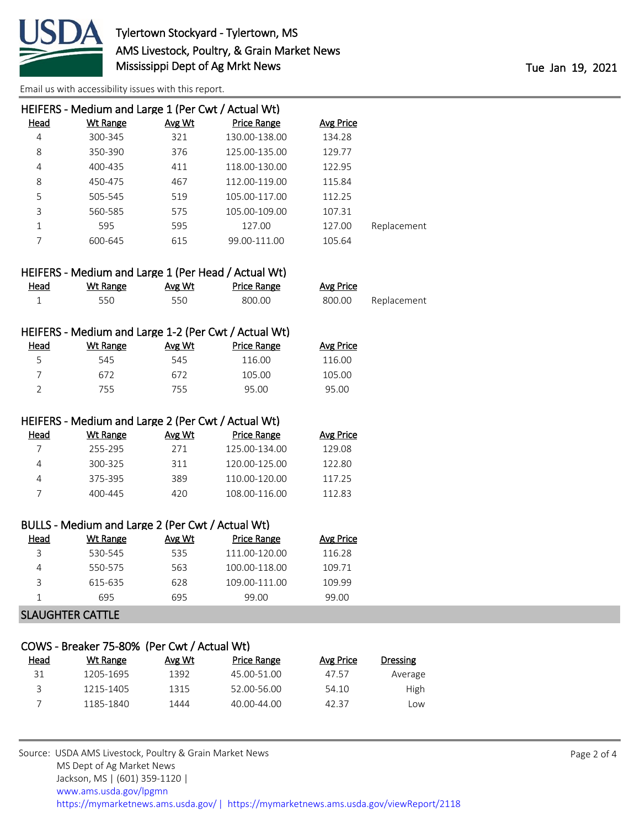

[Email us with accessibility issues with this report.](mailto:mars@ams.usda.gov?subject=508%20issue)

|      | HEIFERS - Medium and Large 1 (Per Cwt / Actual Wt) |        |                    |                  |             |
|------|----------------------------------------------------|--------|--------------------|------------------|-------------|
| Head | <b>Wt Range</b>                                    | Avg Wt | <b>Price Range</b> | <b>Avg Price</b> |             |
| 4    | 300-345                                            | 321    | 130.00-138.00      | 134.28           |             |
| 8    | 350-390                                            | 376    | 125.00-135.00      | 129.77           |             |
| 4    | 400-435                                            | 411    | 118.00-130.00      | 122.95           |             |
| 8    | 450-475                                            | 467    | 112.00-119.00      | 115.84           |             |
| 5    | 505-545                                            | 519    | 105.00-117.00      | 112.25           |             |
| 3    | 560-585                                            | 575    | 105.00-109.00      | 107.31           |             |
| 1    | 595                                                | 595    | 127.00             | 127.00           | Replacement |
|      | 600-645                                            | 615    | 99.00-111.00       | 105.64           |             |
|      |                                                    |        |                    |                  |             |

| HEIFERS - Medium and Large 1 (Per Head / Actual Wt) |          |        |             |           |             |
|-----------------------------------------------------|----------|--------|-------------|-----------|-------------|
| <u>Head</u>                                         | Wt Range | Avg Wt | Price Range | Avg Price |             |
|                                                     | 550      | 550    | 800.00      | 800.00    | Replacement |

| HEIFERS - Medium and Large 1-2 (Per Cwt / Actual Wt) |          |        |                    |           |  |
|------------------------------------------------------|----------|--------|--------------------|-----------|--|
| Head                                                 | Wt Range | Avg Wt | <b>Price Range</b> | Avg Price |  |
| 5.                                                   | 545      | 545    | 116.00             | 116.00    |  |
|                                                      | 672      | 672    | 105.00             | 105.00    |  |
|                                                      | 755      | 755.   | 95.00              | 95.00     |  |

#### HEIFERS - Medium and Large 2 (Per Cwt / Actual Wt)

| Head | Wt Range | Avg Wt | Price Range   | Avg Price |
|------|----------|--------|---------------|-----------|
|      | 255-295  | 271    | 125.00-134.00 | 129.08    |
|      | 300-325  | 311    | 120.00-125.00 | 122.80    |
|      | 375-395  | 389    | 110.00-120.00 | 117.25    |
|      | 400-445  | 420    | 108.00-116.00 | 11283     |

|  |  | BULLS - Medium and Large 2 (Per Cwt / Actual Wt) |  |
|--|--|--------------------------------------------------|--|
|  |  |                                                  |  |

| Head | Wt Range | Avg Wt | Price Range   | Avg Price |
|------|----------|--------|---------------|-----------|
|      | 530-545  | 535    | 111.00-120.00 | 116.28    |
|      | 550-575  | 563    | 100.00-118.00 | 109.71    |
| っ    | 615-635  | 628    | 109.00-111.00 | 109.99    |
|      | 695      | 695    | 99.00         | 99.00     |
|      |          |        |               |           |

# SLAUGHTER CATTLE

#### COWS - Breaker 75-80% (Per Cwt / Actual Wt)

| Head | Wt Range  | Avg Wt | Price Range | Avg Price | <b>Dressing</b> |
|------|-----------|--------|-------------|-----------|-----------------|
| 31   | 1205-1695 | 1392   | 45.00-51.00 | 47.57     | Average         |
|      | 1215-1405 | 1315   | 52.00-56.00 | 54.10     | High            |
|      | 1185-1840 | 1444   | 40.00-44.00 | 42.37     | LOW             |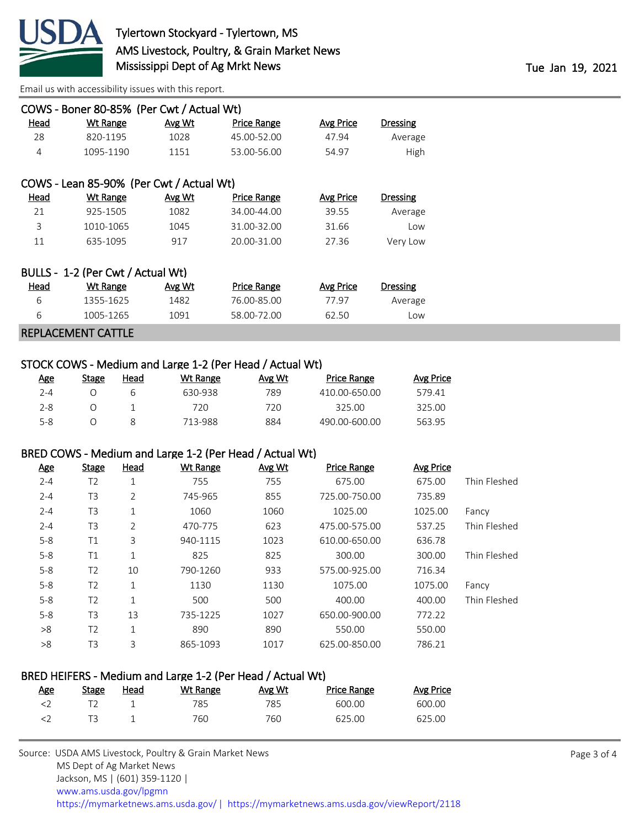

[Email us with accessibility issues with this report.](mailto:mars@ams.usda.gov?subject=508%20issue)

| COWS - Boner 80-85% (Per Cwt / Actual Wt) |                                          |        |                    |                  |          |  |
|-------------------------------------------|------------------------------------------|--------|--------------------|------------------|----------|--|
| Head                                      | Wt Range                                 | Avg Wt | Price Range        | <b>Avg Price</b> | Dressing |  |
| 28                                        | 820-1195                                 | 1028   | 45.00-52.00        | 47.94            | Average  |  |
| 4                                         | 1095-1190                                | 1151   | 53.00-56.00        | 54.97            | High     |  |
|                                           |                                          |        |                    |                  |          |  |
|                                           | COWS - Lean 85-90% (Per Cwt / Actual Wt) |        |                    |                  |          |  |
| Head                                      | Wt Range                                 | Avg Wt | <b>Price Range</b> | Avg Price        | Dressing |  |
| 21                                        | 925-1505                                 | 1082   | 34.00-44.00        | 39.55            | Average  |  |
| 3                                         | 1010-1065                                | 1045   | 31.00-32.00        | 31.66            | Low      |  |
| 11                                        | 635-1095                                 | 917    | 20.00-31.00        | 27.36            | Very Low |  |
|                                           |                                          |        |                    |                  |          |  |
|                                           | BULLS - 1-2 (Per Cwt / Actual Wt)        |        |                    |                  |          |  |
| Head                                      | <b>Wt Range</b>                          | Avg Wt | <b>Price Range</b> | <b>Avg Price</b> | Dressing |  |
| 6                                         | 1355-1625                                | 1482   | 76.00-85.00        | 77.97            | Average  |  |
| 6                                         | 1005-1265                                | 1091   | 58.00-72.00        | 62.50            | Low      |  |

#### REPLACEMENT CATTLE

# STOCK COWS - Medium and Large 1-2 (Per Head / Actual Wt)

| <u>Age</u> | Stage | Head | Wt Range | Avg Wt | <b>Price Range</b> | Avg Price |
|------------|-------|------|----------|--------|--------------------|-----------|
| 2-4        |       |      | 630-938  | 789    | 410.00-650.00      | 579.41    |
| $2 - 8$    |       |      | 720      | 720    | 325.00             | 325.00    |
| 5-8        |       |      | 713-988  | 884    | 490.00-600.00      | 563.95    |

#### BRED COWS - Medium and Large 1-2 (Per Head / Actual Wt)

| <u>Age</u> | <b>Stage</b>   | <b>Head</b>    | <b>Wt Range</b> | Avg Wt | <b>Price Range</b> | <b>Avg Price</b> |              |
|------------|----------------|----------------|-----------------|--------|--------------------|------------------|--------------|
| $2 - 4$    | T <sub>2</sub> | 1              | 755             | 755    | 675.00             | 675.00           | Thin Fleshed |
| $2 - 4$    | T <sub>3</sub> | 2              | 745-965         | 855    | 725.00-750.00      | 735.89           |              |
| $2 - 4$    | T <sub>3</sub> | 1              | 1060            | 1060   | 1025.00            | 1025.00          | Fancy        |
| $2 - 4$    | T <sub>3</sub> | $\overline{2}$ | 470-775         | 623    | 475.00-575.00      | 537.25           | Thin Fleshed |
| $5 - 8$    | T1             | 3              | 940-1115        | 1023   | 610.00-650.00      | 636.78           |              |
| $5 - 8$    | T1             | $\mathbf{1}$   | 825             | 825    | 300.00             | 300.00           | Thin Fleshed |
| $5 - 8$    | T <sub>2</sub> | 10             | 790-1260        | 933    | 575.00-925.00      | 716.34           |              |
| $5 - 8$    | T <sub>2</sub> | $\mathbf{1}$   | 1130            | 1130   | 1075.00            | 1075.00          | Fancy        |
| $5 - 8$    | T <sub>2</sub> | 1              | 500             | 500    | 400.00             | 400.00           | Thin Fleshed |
| $5 - 8$    | T <sub>3</sub> | 13             | 735-1225        | 1027   | 650.00-900.00      | 772.22           |              |
| >8         | T <sub>2</sub> | $\mathbf{1}$   | 890             | 890    | 550.00             | 550.00           |              |
| >8         | T <sub>3</sub> | 3              | 865-1093        | 1017   | 625.00-850.00      | 786.21           |              |

# BRED HEIFERS - Medium and Large 1-2 (Per Head / Actual Wt)

| <u>Age</u> | Stage | <u>Head</u> | Wt Range | Avg Wt | Price Range | Avg Price |
|------------|-------|-------------|----------|--------|-------------|-----------|
|            |       |             | 785.     | 785.   | 600.00      | 600.00    |
|            |       |             | 760      | 760    | 625.00      | 625.00    |